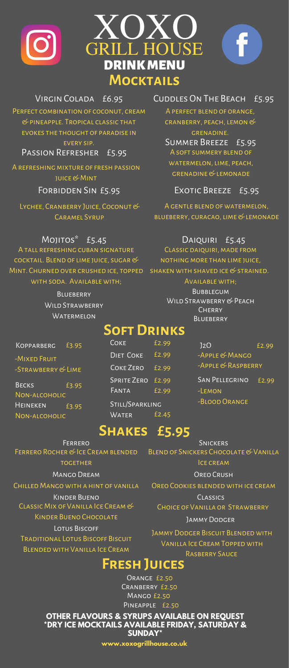





PERFECT COMBINATION OF COCONUT, CREAM & pineapple. Tropical classic that evokes the thought of paradise in Virgin Colada £6.95

Passion Refresher £5.95

A REFRESHING MIXTURE OF FRESH PASSION juice & Mint

Forbidden Sin £5.95

LYCHEE, CRANBERRY JUICE, COCONUT & CADAMEL SYDLID

Cuddles On The Beach £5.95

A perfect blend of orange, cranberry, PEACH, LEMON & grenadine.

A soft summery blend of WATERMELON, LIME, PEACH, grenadine & lemonade Summer Breeze £5.95

Exotic Breeze £5.95

A gentle blend of watermelon, BLUEBERRY, CURACAO, LIME & LEMONADE

A tall refreshing cuban signature cocktail. Blend oflime juice, sugar & Mint. Churned over crushed ice, topped with soda. Available with;

> **BLUEBERRY** WILD STRAWBERRY **WATERMELON**

Mojitos\* £5.45 Daiquiri £5.45

CLASSIC DAIQUIRI, MADE FROM NOTHING MORE THAN LIME JUICE, shaken with shaved ice & strained.

Available with;

**BUBBLEGUM** WILD STRAWBERRY & PEACH **CHERRY BLUEBERRY** 

### **OFT DRINKS**

**KOPPARBERG** -Mixed Fruit

BECKS £3.95 HEINEKEN £3.95 -Strawberry & Lime Non-alcoholic

Non-alcoholic

| COKE               | £2.99 |
|--------------------|-------|
| <b>DIET COKE</b>   | £2.99 |
| COKE ZERO          | £2.99 |
| <b>SPRITE ZERO</b> | £2.99 |
| FANTA              | £2.99 |
| STILL/SPARKLING    |       |
| <b>WATER</b>       | £2.45 |

**Shakes £5.95**

-Apple & Mango -Apple & Raspberry -Lemon £3.95 COKE 2.99 12O £2.99 SAN PELLEGRINO £2.99

-Blood Orange

FERRERO SNICKERS MANGO DREAM CONTROL CONTROL CONTROL CRUSH FERRERO ROCHER & ICE CREAM BLENDED **TOGETHER** Kinder Bueno Classic Mix of Vanilla Ice Cream & Kinder Bueno Chocolate

Lotus Biscoff Traditional Lotus Biscoff Biscuit Blended with Vanilla Ice Cream

BLEND OF SNICKERS CHOCOLATE & VANILLA Ice cream

Chilled Mango with a hint of vanilla Oreo Cookies blended with ice cream Classics

> Choice of Vanilla or Strawberry Jammy Dodger

Jammy Dodger Biscuit Blended with Vanilla Ice CreamTopped with Rasberry Sauce

### **FreshJuices**

ORANGE *£2*.50 Cranberry £2.50 MANGO £2.50 Pineapple £2.50

**OTHER FLAVOURS & SYRUPS AVAILABLE ON REQUEST \*DRY ICE MOCKTAILS AVAILABLE FRIDAY, SATURDAY & SUNDAY\***

**www.xoxogrillhouse.co.uk**